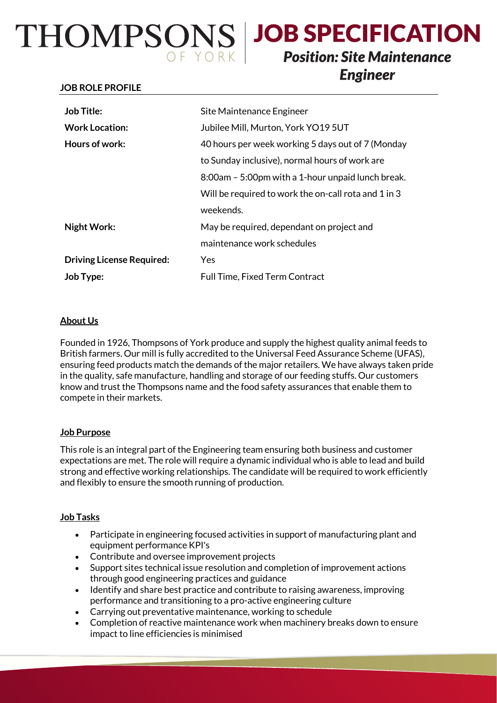# THOMPSONS JOB SPECIFICATION

## **Position: Site Maintenance Engineer**

#### **JOB ROLE PROFILE**

| <b>Job Title:</b>                | Site Maintenance Engineer                            |
|----------------------------------|------------------------------------------------------|
| <b>Work Location:</b>            | Jubilee Mill, Murton, York YO19 5UT                  |
| Hours of work:                   | 40 hours per week working 5 days out of 7 (Monday    |
|                                  | to Sunday inclusive), normal hours of work are       |
|                                  | 8:00am - 5:00pm with a 1-hour unpaid lunch break.    |
|                                  | Will be required to work the on-call rota and 1 in 3 |
|                                  | weekends.                                            |
| <b>Night Work:</b>               | May be required, dependant on project and            |
|                                  | maintenance work schedules                           |
| <b>Driving License Required:</b> | Yes                                                  |
| Job Type:                        | <b>Full Time, Fixed Term Contract</b>                |

### **About Us**

Founded in 1926, Thompsons of York produce and supply the highest quality animal feeds to British farmers. Our mill is fully accredited to the Universal Feed Assurance Scheme (UFAS), ensuring feed products match the demands of the major retailers. We have always taken pride in the quality, safe manufacture, handling and storage of our feeding stuffs. Our customers know and trust the Thompsons name and the food safety assurances that enable them to compete in their markets.

### **Job Purpose**

This role is an integral part of the Engineering team ensuring both business and customer expectations are met. The role will require a dynamic individual who is able to lead and build strong and effective working relationships. The candidate will be required to work efficiently and flexibly to ensure the smooth running of production.

### **Job Tasks**

- Participate in engineering focused activities in support of manufacturing plant and equipment performance KPI's
- Contribute and oversee improvement projects
- Support sites technical issue resolution and completion of improvement actions through good engineering practices and guidance
- Identify and share best practice and contribute to raising awareness, improving performance and transitioning to a pro-active engineering culture
- Carrying out preventative maintenance, working to schedule
- Completion of reactive maintenance work when machinery breaks down to ensure impact to line efficiencies is minimised